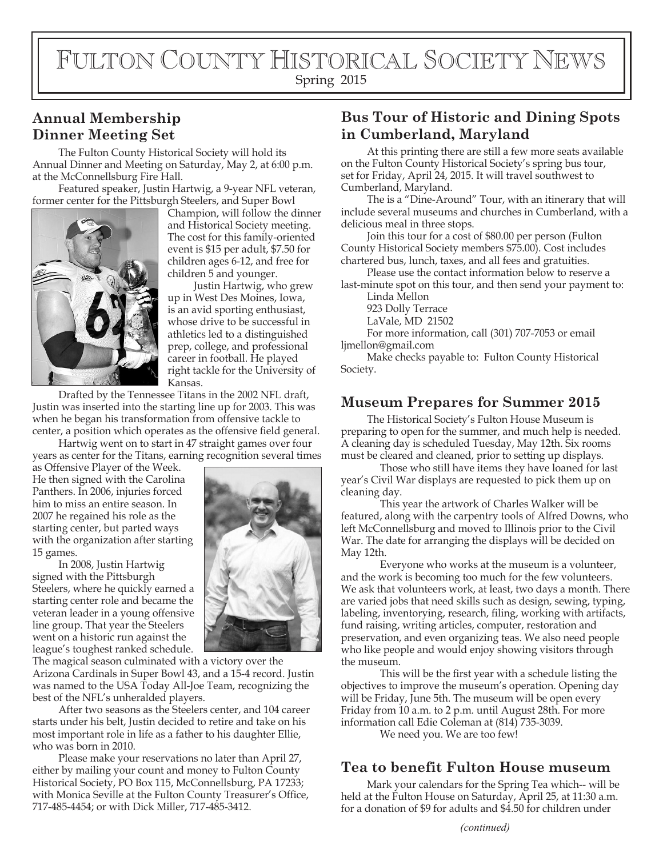# FULTON COUNTY HISTORICAL SOCIETY NEWS Spring 2015

# **Annual Membership Dinner Meeting Set**

The Fulton County Historical Society will hold its Annual Dinner and Meeting on Saturday, May 2, at 6:00 p.m. at the McConnellsburg Fire Hall.

Featured speaker, Justin Hartwig, a 9-year NFL veteran, former center for the Pittsburgh Steelers, and Super Bowl



Champion, will follow the dinner and Historical Society meeting. The cost for this family-oriented event is \$15 per adult, \$7.50 for children ages 6-12, and free for children 5 and younger.

Justin Hartwig, who grew up in West Des Moines, Iowa, is an avid sporting enthusiast, whose drive to be successful in athletics led to a distinguished prep, college, and professional career in football. He played right tackle for the University of Kansas.

Drafted by the Tennessee Titans in the 2002 NFL draft, Justin was inserted into the starting line up for 2003. This was when he began his transformation from offensive tackle to center, a position which operates as the offensive field general.

Hartwig went on to start in 47 straight games over four years as center for the Titans, earning recognition several times

as Offensive Player of the Week. He then signed with the Carolina Panthers. In 2006, injuries forced him to miss an entire season. In 2007 he regained his role as the starting center, but parted ways with the organization after starting 15 games.

In 2008, Justin Hartwig signed with the Pittsburgh Steelers, where he quickly earned a starting center role and became the veteran leader in a young offensive line group. That year the Steelers went on a historic run against the league's toughest ranked schedule.



After two seasons as the Steelers center, and 104 career starts under his belt, Justin decided to retire and take on his most important role in life as a father to his daughter Ellie, who was born in 2010.

Please make your reservations no later than April 27, either by mailing your count and money to Fulton County Historical Society, PO Box 115, McConnellsburg, PA 17233; with Monica Seville at the Fulton County Treasurer's Office, 717-485-4454; or with Dick Miller, 717-485-3412.

### **Bus Tour of Historic and Dining Spots in Cumberland, Maryland**

At this printing there are still a few more seats available on the Fulton County Historical Society's spring bus tour, set for Friday, April 24, 2015. It will travel southwest to Cumberland, Maryland.

The is a "Dine-Around" Tour, with an itinerary that will include several museums and churches in Cumberland, with a delicious meal in three stops.

Join this tour for a cost of \$80.00 per person (Fulton County Historical Society members \$75.00). Cost includes chartered bus, lunch, taxes, and all fees and gratuities.

Please use the contact information below to reserve a last-minute spot on this tour, and then send your payment to:

Linda Mellon

923 Dolly Terrace LaVale, MD 21502

For more information, call (301) 707-7053 or email ljmellon@gmail.com

Make checks payable to: Fulton County Historical Society.

# **Museum Prepares for Summer 2015**

The Historical Society's Fulton House Museum is preparing to open for the summer, and much help is needed. A cleaning day is scheduled Tuesday, May 12th. Six rooms must be cleared and cleaned, prior to setting up displays.

Those who still have items they have loaned for last year's Civil War displays are requested to pick them up on cleaning day.

This year the artwork of Charles Walker will be featured, along with the carpentry tools of Alfred Downs, who left McConnellsburg and moved to Illinois prior to the Civil War. The date for arranging the displays will be decided on May 12th.

Everyone who works at the museum is a volunteer, and the work is becoming too much for the few volunteers. We ask that volunteers work, at least, two days a month. There are varied jobs that need skills such as design, sewing, typing, labeling, inventorying, research, filing, working with artifacts, fund raising, writing articles, computer, restoration and preservation, and even organizing teas. We also need people who like people and would enjoy showing visitors through the museum.

This will be the first year with a schedule listing the objectives to improve the museum's operation. Opening day will be Friday, June 5th. The museum will be open every Friday from 10 a.m. to 2 p.m. until August 28th. For more information call Edie Coleman at (814) 735-3039.

We need you. We are too few!

### **Tea to benefit Fulton House museum**

Mark your calendars for the Spring Tea which-- will be held at the Fulton House on Saturday, April 25, at 11:30 a.m. for a donation of \$9 for adults and \$4.50 for children under

*(continued)*

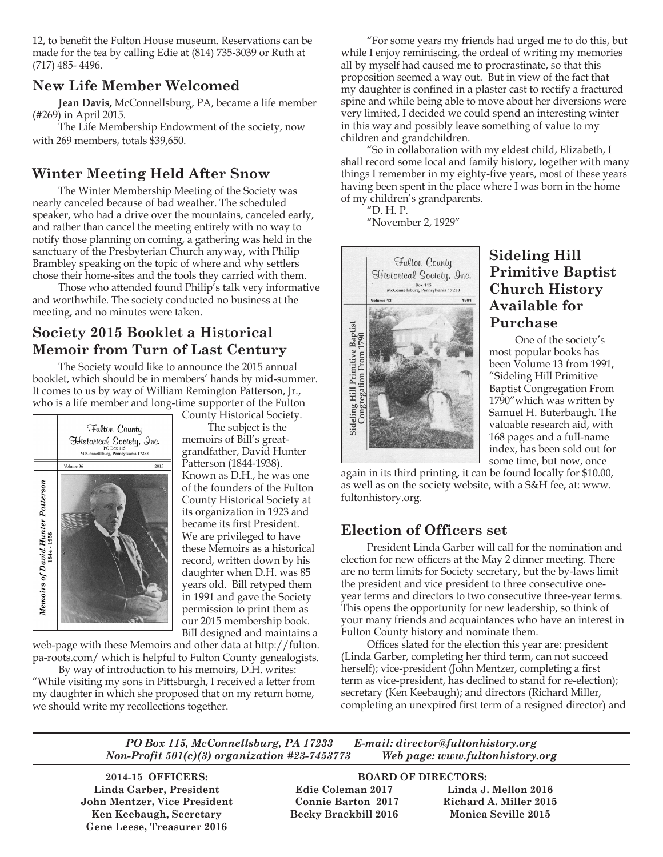12, to benefit the Fulton House museum. Reservations can be made for the tea by calling Edie at (814) 735-3039 or Ruth at (717) 485- 4496.

### **New Life Member Welcomed**

**Jean Davis,** McConnellsburg, PA, became a life member (#269) in April 2015.

The Life Membership Endowment of the society, now with 269 members, totals \$39,650.

### **Winter Meeting Held After Snow**

The Winter Membership Meeting of the Society was nearly canceled because of bad weather. The scheduled speaker, who had a drive over the mountains, canceled early, and rather than cancel the meeting entirely with no way to notify those planning on coming, a gathering was held in the sanctuary of the Presbyterian Church anyway, with Philip Brambley speaking on the topic of where and why settlers chose their home-sites and the tools they carried with them.

Those who attended found Philip's talk very informative and worthwhile. The society conducted no business at the meeting, and no minutes were taken.

## **Society 2015 Booklet a Historical Memoir from Turn of Last Century**

The Society would like to announce the 2015 annual booklet, which should be in members' hands by mid-summer. It comes to us by way of William Remington Patterson, Jr., who is a life member and long-time supporter of the Fulton



County Historical Society.

The subject is the memoirs of Bill's greatgrandfather, David Hunter Patterson (1844-1938). Known as D.H., he was one of the founders of the Fulton County Historical Society at its organization in 1923 and became its first President. We are privileged to have these Memoirs as a historical record, written down by his daughter when D.H. was 85 years old. Bill retyped them in 1991 and gave the Society permission to print them as our 2015 membership book. Bill designed and maintains a

web-page with these Memoirs and other data at http://fulton. pa-roots.com/ which is helpful to Fulton County genealogists.

By way of introduction to his memoirs, D.H. writes: "While visiting my sons in Pittsburgh, I received a letter from my daughter in which she proposed that on my return home, we should write my recollections together.

"For some years my friends had urged me to do this, but while I enjoy reminiscing, the ordeal of writing my memories all by myself had caused me to procrastinate, so that this proposition seemed a way out. But in view of the fact that my daughter is confined in a plaster cast to rectify a fractured spine and while being able to move about her diversions were very limited, I decided we could spend an interesting winter in this way and possibly leave something of value to my children and grandchildren.

"So in collaboration with my eldest child, Elizabeth, I shall record some local and family history, together with many things I remember in my eighty-five years, most of these years having been spent in the place where I was born in the home of my children's grandparents.

"D. H. P. "November 2, 1929"

Fulton County Historical Society, Inc. Box 115<br>McConnellsburg, Pennsylvania 17233 Sideling Hill Primitive Baptist<br>Congregation From 1790

# **Sideling Hill Primitive Baptist Church History Available for Purchase**

One of the society's most popular books has been Volume 13 from 1991, "Sideling Hill Primitive Baptist Congregation From 1790"which was written by Samuel H. Buterbaugh. The valuable research aid, with 168 pages and a full-name index, has been sold out for some time, but now, once

again in its third printing, it can be found locally for \$10.00, as well as on the society website, with a S&H fee, at: www. fultonhistory.org.

### **Election of Officers set**

President Linda Garber will call for the nomination and election for new officers at the May 2 dinner meeting. There are no term limits for Society secretary, but the by-laws limit the president and vice president to three consecutive oneyear terms and directors to two consecutive three-year terms. This opens the opportunity for new leadership, so think of your many friends and acquaintances who have an interest in Fulton County history and nominate them.

Offices slated for the election this year are: president (Linda Garber, completing her third term, can not succeed herself); vice-president (John Mentzer, completing a first term as vice-president, has declined to stand for re-election); secretary (Ken Keebaugh); and directors (Richard Miller, completing an unexpired first term of a resigned director) and

*PO Box 115, McConnellsburg, PA 17233 E-mail: director@fultonhistory.org Non-Profit 501(c)(3) organization #23-7453773 Web page: www.fultonhistory.org*

 **Linda Garber, President Edie Coleman 2017 Linda J. Mellon 2016 John Mentzer, Vice President Connie Barton 2017 Richard A. Miller 2015 Ken Keebaugh, Secretary Becky Brackbill 2016 Monica Seville 2015 Gene Leese, Treasurer 2016**

### **2014-15 OFFICERS: BOARD OF DIRECTORS:**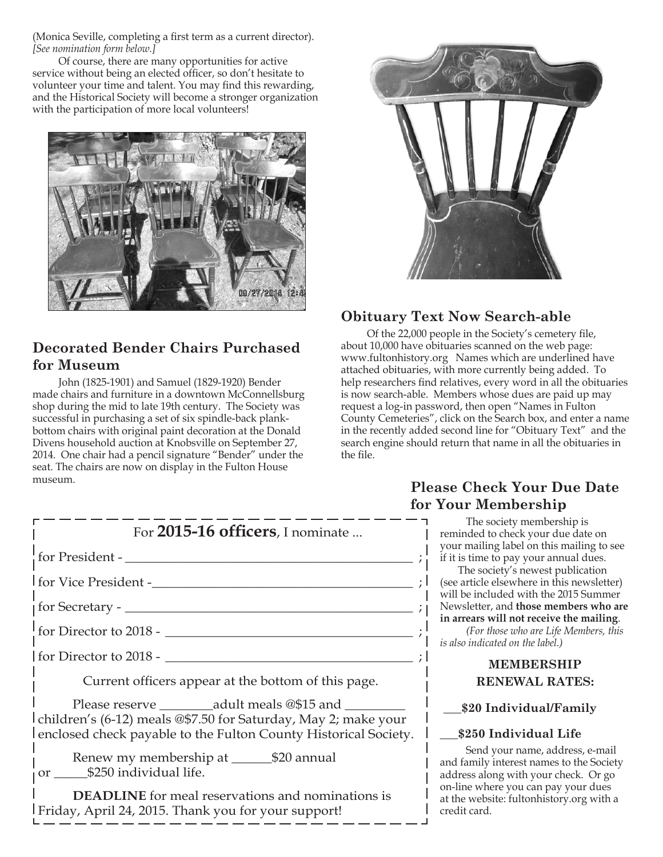(Monica Seville, completing a first term as a current director). *[See nomination form below.]*

Of course, there are many opportunities for active service without being an elected officer, so don't hesitate to volunteer your time and talent. You may find this rewarding, and the Historical Society will become a stronger organization with the participation of more local volunteers!



# **Decorated Bender Chairs Purchased for Museum**

John (1825-1901) and Samuel (1829-1920) Bender made chairs and furniture in a downtown McConnellsburg shop during the mid to late 19th century. The Society was successful in purchasing a set of six spindle-back plankbottom chairs with original paint decoration at the Donald Divens household auction at Knobsville on September 27, 2014. One chair had a pencil signature "Bender" under the seat. The chairs are now on display in the Fulton House museum.

ľ



# **Obituary Text Now Search-able**

Of the 22,000 people in the Society's cemetery file, about 10,000 have obituaries scanned on the web page: www.fultonhistory.org Names which are underlined have attached obituaries, with more currently being added. To help researchers find relatives, every word in all the obituaries is now search-able. Members whose dues are paid up may request a log-in password, then open "Names in Fulton County Cemeteries", click on the Search box, and enter a name in the recently added second line for "Obituary Text" and the search engine should return that name in all the obituaries in the file.

| LV.                                                                                                                                                            |
|----------------------------------------------------------------------------------------------------------------------------------------------------------------|
| For 2015-16 officers, I nominate                                                                                                                               |
|                                                                                                                                                                |
|                                                                                                                                                                |
|                                                                                                                                                                |
|                                                                                                                                                                |
| $\frac{1}{2}$ for Director to 2018 - $\frac{1}{2}$                                                                                                             |
| Current officers appear at the bottom of this page.                                                                                                            |
| children's (6-12) meals @\$7.50 for Saturday, May 2; make your<br>enclosed check payable to the Fulton County Historical Society.<br>or \$250 individual life. |

### **DEADLINE** for meal reservations and nominations is Friday, April 24, 2015. Thank you for your support!

### **Please Check Your Due Date for Your Membership**

The society membership is reminded to check your due date on your mailing label on this mailing to see if it is time to pay your annual dues.

The society's newest publication (see article elsewhere in this newsletter) will be included with the 2015 Summer Newsletter, and **those members who are in arrears will not receive the mailing**.

*(For those who are Life Members, this is also indicated on the label.)*

### **MEMBERSHIP RENEWAL RATES:**

### **\_\_\_\$20 Individual/Family**

### **\_\_\_\$250 Individual Life**

Send your name, address, e-mail and family interest names to the Society address along with your check. Or go on-line where you can pay your dues at the website: fultonhistory.org with a credit card.